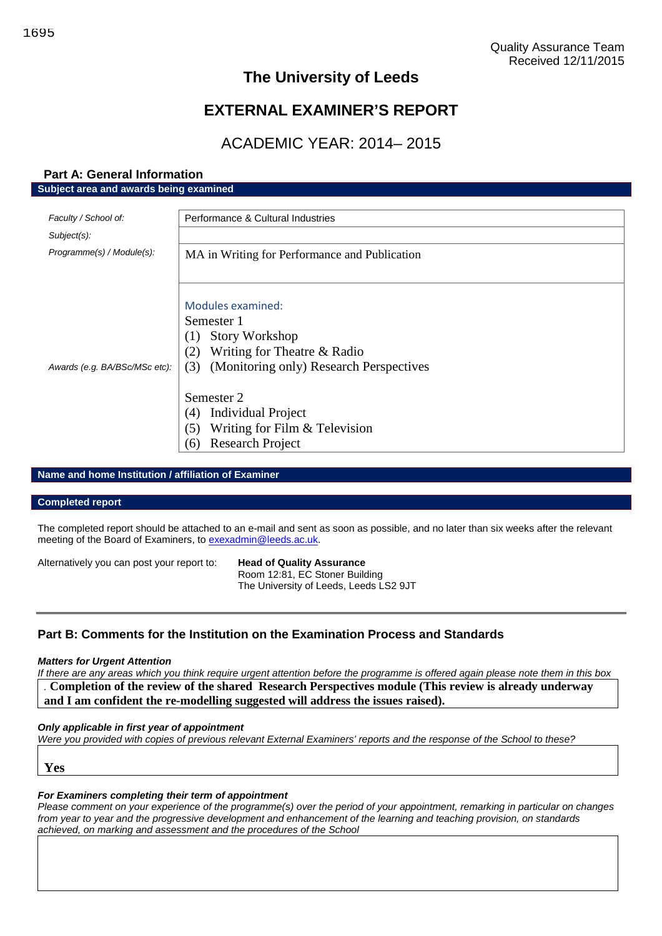## **The University of Leeds**

# **EXTERNAL EXAMINER'S REPORT**

# ACADEMIC YEAR: 2014– 2015

| Subject area and awards being examined |                                                |  |
|----------------------------------------|------------------------------------------------|--|
| Faculty / School of:                   | Performance & Cultural Industries              |  |
|                                        |                                                |  |
| Subject(s):                            |                                                |  |
| Programme(s) / Module(s):              | MA in Writing for Performance and Publication  |  |
|                                        |                                                |  |
|                                        |                                                |  |
|                                        | <b>Modules examined:</b>                       |  |
|                                        | Semester 1                                     |  |
|                                        | <b>Story Workshop</b><br>(1)                   |  |
|                                        | (2) Writing for Theatre $&$ Radio              |  |
| Awards (e.g. BA/BSc/MSc etc):          | (Monitoring only) Research Perspectives<br>(3) |  |
|                                        |                                                |  |
|                                        | Semester 2                                     |  |
|                                        | Individual Project<br>(4)                      |  |
|                                        | Writing for Film $&$ Television<br>(5)         |  |
|                                        | <b>Research Project</b><br>(6)                 |  |

## **Name and home Institution / affiliation of Examiner**

**Part A: General Information**

#### **Completed report**

The completed report should be attached to an e-mail and sent as soon as possible, and no later than six weeks after the relevant meeting of the Board of Examiners, to [exexadmin@leeds.ac.uk.](mailto:exexadmin@leeds.ac.uk)

| Alternatively you can post your report to: | <b>Head of Quality Assurance</b>       |
|--------------------------------------------|----------------------------------------|
|                                            | Room 12:81, EC Stoner Building         |
|                                            | The University of Leeds, Leeds LS2 9JT |

## **Part B: Comments for the Institution on the Examination Process and Standards**

### *Matters for Urgent Attention*

*If there are any areas which you think require urgent attention before the programme is offered again please note them in this box .* **Completion of the review of the shared Research Perspectives module (This review is already underway and I am confident the re-modelling suggested will address the issues raised).**

#### *Only applicable in first year of appointment*

*Were you provided with copies of previous relevant External Examiners' reports and the response of the School to these?*

**Yes**

#### *For Examiners completing their term of appointment*

*Please comment on your experience of the programme(s) over the period of your appointment, remarking in particular on changes from year to year and the progressive development and enhancement of the learning and teaching provision, on standards achieved, on marking and assessment and the procedures of the School*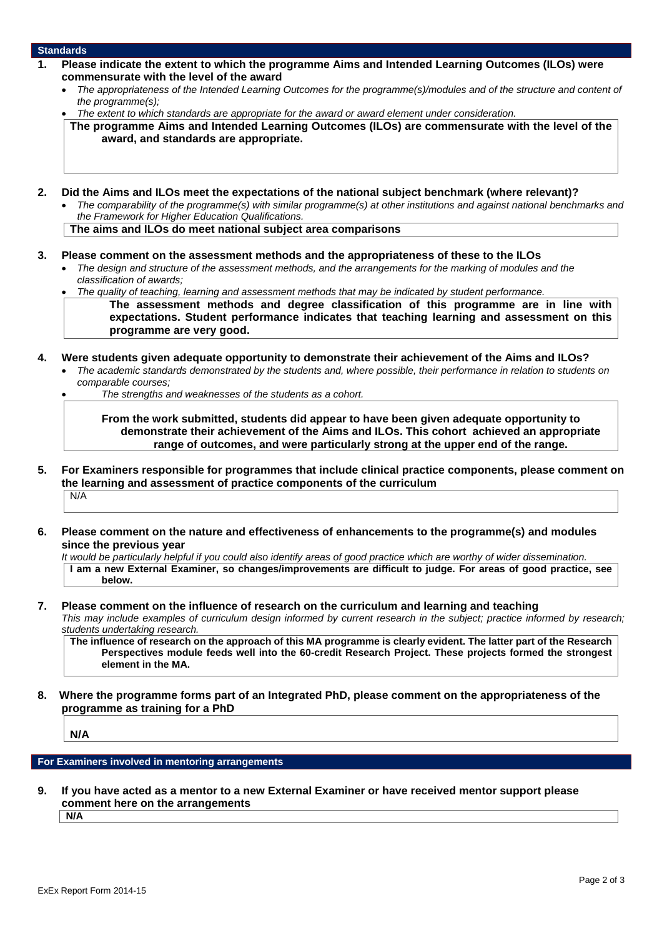#### **Standards**

- **1. Please indicate the extent to which the programme Aims and Intended Learning Outcomes (ILOs) were commensurate with the level of the award**
	- *The appropriateness of the Intended Learning Outcomes for the programme(s)/modules and of the structure and content of the programme(s);*
	- *The extent to which standards are appropriate for the award or award element under consideration.*

**The programme Aims and Intended Learning Outcomes (ILOs) are commensurate with the level of the award, and standards are appropriate.**

- **2. Did the Aims and ILOs meet the expectations of the national subject benchmark (where relevant)?**
	- *The comparability of the programme(s) with similar programme(s) at other institutions and against national benchmarks and the Framework for Higher Education Qualifications.*

**The aims and ILOs do meet national subject area comparisons**

- **3. Please comment on the assessment methods and the appropriateness of these to the ILOs**
	- *The design and structure of the assessment methods, and the arrangements for the marking of modules and the classification of awards;*

*The quality of teaching, learning and assessment methods that may be indicated by student performance.*

**The assessment methods and degree classification of this programme are in line with expectations. Student performance indicates that teaching learning and assessment on this programme are very good.**

- **4. Were students given adequate opportunity to demonstrate their achievement of the Aims and ILOs?** *The academic standards demonstrated by the students and, where possible, their performance in relation to students on*
	- *comparable courses;*
	- *The strengths and weaknesses of the students as a cohort.*

**From the work submitted, students did appear to have been given adequate opportunity to demonstrate their achievement of the Aims and ILOs. This cohort achieved an appropriate range of outcomes, and were particularly strong at the upper end of the range.**

- **5. For Examiners responsible for programmes that include clinical practice components, please comment on the learning and assessment of practice components of the curriculum** N/A
- **6. Please comment on the nature and effectiveness of enhancements to the programme(s) and modules since the previous year**

*It would be particularly helpful if you could also identify areas of good practice which are worthy of wider dissemination.* **I am a new External Examiner, so changes/improvements are difficult to judge. For areas of good practice, see below.**

#### **7. Please comment on the influence of research on the curriculum and learning and teaching** *This may include examples of curriculum design informed by current research in the subject; practice informed by research;*

*students undertaking research.*

**The influence of research on the approach of this MA programme is clearly evident. The latter part of the Research Perspectives module feeds well into the 60-credit Research Project. These projects formed the strongest element in the MA.**

**8. Where the programme forms part of an Integrated PhD, please comment on the appropriateness of the programme as training for a PhD**

**N/A**

**For Examiners involved in mentoring arrangements**

**9. If you have acted as a mentor to a new External Examiner or have received mentor support please comment here on the arrangements**

**N/A**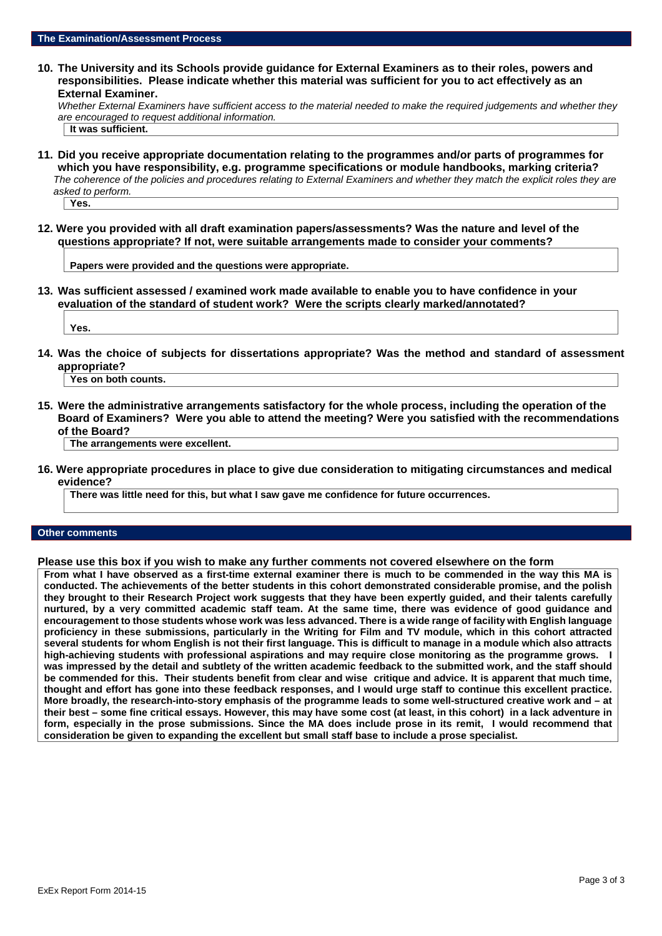**10. The University and its Schools provide guidance for External Examiners as to their roles, powers and responsibilities. Please indicate whether this material was sufficient for you to act effectively as an External Examiner.**

*Whether External Examiners have sufficient access to the material needed to make the required judgements and whether they are encouraged to request additional information.*

- **It was sufficient.**
- **11. Did you receive appropriate documentation relating to the programmes and/or parts of programmes for which you have responsibility, e.g. programme specifications or module handbooks, marking criteria?** *The coherence of the policies and procedures relating to External Examiners and whether they match the explicit roles they are asked to perform.*

**Yes.**

**12. Were you provided with all draft examination papers/assessments? Was the nature and level of the questions appropriate? If not, were suitable arrangements made to consider your comments?**

**Papers were provided and the questions were appropriate.**

**13. Was sufficient assessed / examined work made available to enable you to have confidence in your evaluation of the standard of student work? Were the scripts clearly marked/annotated?**

**Yes.**

**14. Was the choice of subjects for dissertations appropriate? Was the method and standard of assessment appropriate?**

**Yes on both counts.**

**15. Were the administrative arrangements satisfactory for the whole process, including the operation of the Board of Examiners? Were you able to attend the meeting? Were you satisfied with the recommendations of the Board?**

**The arrangements were excellent.**

**16. Were appropriate procedures in place to give due consideration to mitigating circumstances and medical evidence?**

**There was little need for this, but what I saw gave me confidence for future occurrences.**

#### **Other comments**

**Please use this box if you wish to make any further comments not covered elsewhere on the form**

**From what I have observed as a first-time external examiner there is much to be commended in the way this MA is conducted. The achievements of the better students in this cohort demonstrated considerable promise, and the polish they brought to their Research Project work suggests that they have been expertly guided, and their talents carefully nurtured, by a very committed academic staff team. At the same time, there was evidence of good guidance and encouragement to those students whose work was less advanced. There is a wide range of facility with English language proficiency in these submissions, particularly in the Writing for Film and TV module, which in this cohort attracted several students for whom English is not their first language. This is difficult to manage in a module which also attracts high-achieving students with professional aspirations and may require close monitoring as the programme grows. I was impressed by the detail and subtlety of the written academic feedback to the submitted work, and the staff should be commended for this. Their students benefit from clear and wise critique and advice. It is apparent that much time, thought and effort has gone into these feedback responses, and I would urge staff to continue this excellent practice. More broadly, the research-into-story emphasis of the programme leads to some well-structured creative work and – at their best – some fine critical essays. However, this may have some cost (at least, in this cohort) in a lack adventure in form, especially in the prose submissions. Since the MA does include prose in its remit, I would recommend that consideration be given to expanding the excellent but small staff base to include a prose specialist.**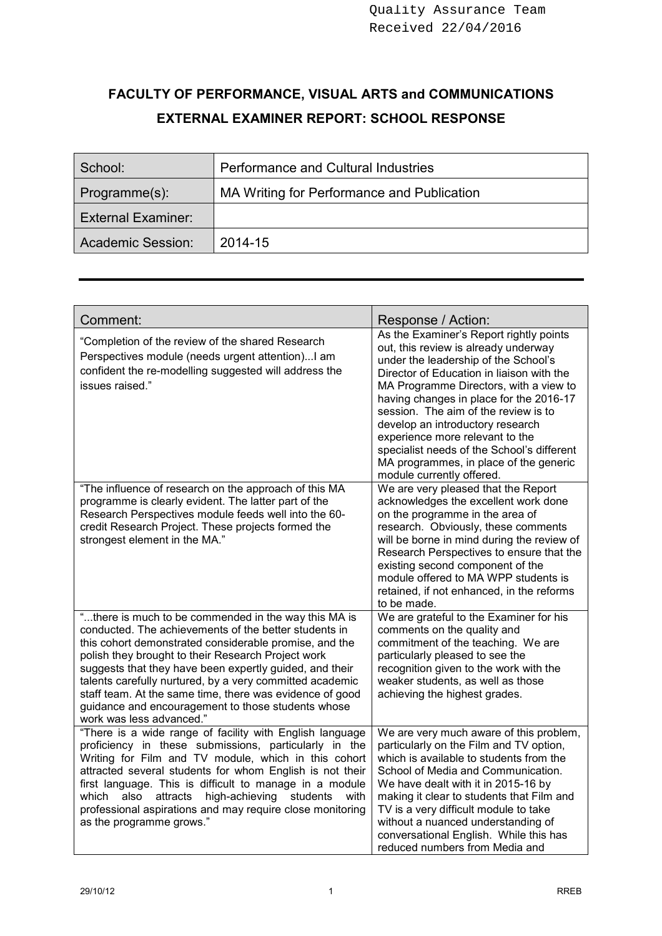# **FACULTY OF PERFORMANCE, VISUAL ARTS and COMMUNICATIONS EXTERNAL EXAMINER REPORT: SCHOOL RESPONSE**

| School:                   | <b>Performance and Cultural Industries</b> |
|---------------------------|--------------------------------------------|
| Programme(s):             | MA Writing for Performance and Publication |
| <b>External Examiner:</b> |                                            |
| Academic Session:         | 2014-15                                    |

| Comment:                                                                                                                                                                                                                                                                                                                                                                                                                                                                                           | Response / Action:                                                                                                                                                                                                                                                                                                                                                                                                                                                                            |
|----------------------------------------------------------------------------------------------------------------------------------------------------------------------------------------------------------------------------------------------------------------------------------------------------------------------------------------------------------------------------------------------------------------------------------------------------------------------------------------------------|-----------------------------------------------------------------------------------------------------------------------------------------------------------------------------------------------------------------------------------------------------------------------------------------------------------------------------------------------------------------------------------------------------------------------------------------------------------------------------------------------|
| "Completion of the review of the shared Research<br>Perspectives module (needs urgent attention) I am<br>confident the re-modelling suggested will address the<br>issues raised."                                                                                                                                                                                                                                                                                                                  | As the Examiner's Report rightly points<br>out, this review is already underway<br>under the leadership of the School's<br>Director of Education in liaison with the<br>MA Programme Directors, with a view to<br>having changes in place for the 2016-17<br>session. The aim of the review is to<br>develop an introductory research<br>experience more relevant to the<br>specialist needs of the School's different<br>MA programmes, in place of the generic<br>module currently offered. |
| "The influence of research on the approach of this MA<br>programme is clearly evident. The latter part of the<br>Research Perspectives module feeds well into the 60-<br>credit Research Project. These projects formed the<br>strongest element in the MA."                                                                                                                                                                                                                                       | We are very pleased that the Report<br>acknowledges the excellent work done<br>on the programme in the area of<br>research. Obviously, these comments<br>will be borne in mind during the review of<br>Research Perspectives to ensure that the<br>existing second component of the<br>module offered to MA WPP students is<br>retained, if not enhanced, in the reforms<br>to be made.                                                                                                       |
| "there is much to be commended in the way this MA is<br>conducted. The achievements of the better students in<br>this cohort demonstrated considerable promise, and the<br>polish they brought to their Research Project work<br>suggests that they have been expertly guided, and their<br>talents carefully nurtured, by a very committed academic<br>staff team. At the same time, there was evidence of good<br>guidance and encouragement to those students whose<br>work was less advanced." | We are grateful to the Examiner for his<br>comments on the quality and<br>commitment of the teaching. We are<br>particularly pleased to see the<br>recognition given to the work with the<br>weaker students, as well as those<br>achieving the highest grades.                                                                                                                                                                                                                               |
| "There is a wide range of facility with English language<br>proficiency in these submissions, particularly in the<br>Writing for Film and TV module, which in this cohort<br>attracted several students for whom English is not their<br>first language. This is difficult to manage in a module<br>attracts high-achieving<br>which<br>also<br>students<br>with<br>professional aspirations and may require close monitoring<br>as the programme grows."                                          | We are very much aware of this problem,<br>particularly on the Film and TV option,<br>which is available to students from the<br>School of Media and Communication.<br>We have dealt with it in 2015-16 by<br>making it clear to students that Film and<br>TV is a very difficult module to take<br>without a nuanced understanding of<br>conversational English. While this has<br>reduced numbers from Media and                                                                            |